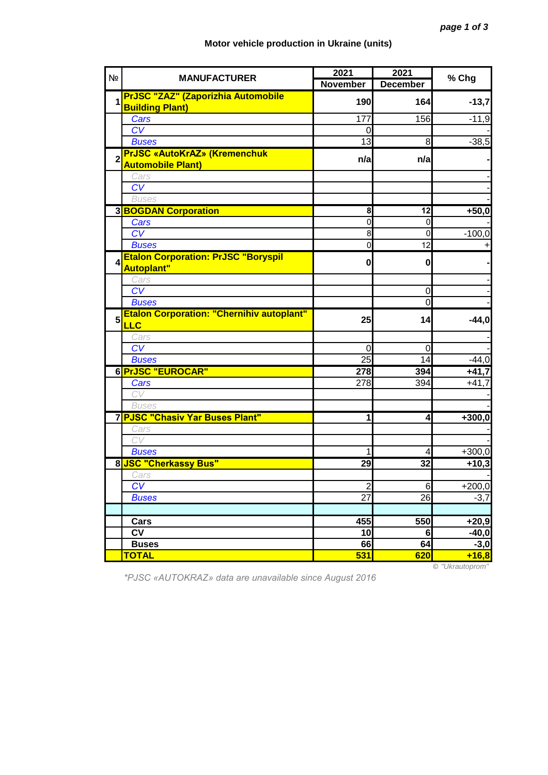## **Motor vehicle production in Ukraine (units)**

| N <sub>2</sub>   | <b>MANUFACTURER</b>                                             | 2021            | 2021                    |          |
|------------------|-----------------------------------------------------------------|-----------------|-------------------------|----------|
|                  |                                                                 | <b>November</b> | <b>December</b>         | % Chg    |
| 1                | <b>PrJSC "ZAZ" (Zaporizhia Automobile</b>                       | 190             | 164                     | $-13,7$  |
|                  | <b>Building Plant)</b>                                          |                 |                         |          |
|                  | Cars                                                            | 177             | 156                     | $-11,9$  |
|                  | CV                                                              | 0               |                         |          |
|                  | <b>Buses</b>                                                    | 13              | 8                       | $-38,5$  |
| $\overline{2}$   | <b>PrJSC «AutoKrAZ» (Kremenchuk</b><br><b>Automobile Plant)</b> | n/a             | n/a                     |          |
|                  | Cars                                                            |                 |                         |          |
|                  | CV                                                              |                 |                         |          |
|                  | <b>Buses</b>                                                    |                 |                         |          |
|                  | <b>3 BOGDAN Corporation</b>                                     | 8               | 12                      | $+50,0$  |
|                  | Cars                                                            | $\mathbf 0$     | $\mathbf 0$             |          |
|                  | CV                                                              | 8               | $\overline{0}$          | $-100,0$ |
|                  | <b>Buses</b>                                                    | $\overline{0}$  | 12                      |          |
| $\boldsymbol{4}$ | <b>Etalon Corporation: PrJSC "Boryspil</b><br><b>Autoplant"</b> | $\mathbf{0}$    | 0                       |          |
|                  | Cars                                                            |                 |                         |          |
|                  | $\overline{\text{CV}}$                                          |                 | $\mathbf 0$             |          |
|                  | <b>Buses</b>                                                    |                 | Ō                       |          |
|                  | <b>Etalon Corporation: "Chernihiv autoplant"</b>                |                 |                         |          |
| 5                | <b>LLC</b>                                                      | 25              | 14                      | $-44,0$  |
|                  | Cars                                                            |                 |                         |          |
|                  | CV                                                              | 0               | 0                       |          |
|                  | <b>Buses</b>                                                    | 25              | 14                      | $-44,0$  |
|                  | 6 PrJSC "EUROCAR"                                               | 278             | 394                     | $+41,7$  |
|                  | Cars                                                            | 278             | 394                     | $+41,7$  |
|                  | CV                                                              |                 |                         |          |
|                  | <b>Buses</b>                                                    |                 |                         |          |
|                  | 7 PJSC "Chasiv Yar Buses Plant"                                 | 1               | $\overline{\mathbf{r}}$ | $+300,0$ |
|                  | Cars                                                            |                 |                         |          |
|                  | CV                                                              |                 |                         |          |
|                  | <b>Buses</b>                                                    |                 | 4                       | $+300,0$ |
|                  | 8JSC "Cherkassy Bus"                                            | 29              | 32                      | $+10,3$  |
|                  | Cars                                                            |                 |                         |          |
|                  | CV                                                              | $\overline{2}$  | 6                       | $+200,0$ |
|                  | <b>Buses</b>                                                    | $\overline{27}$ | 26                      | $-3,7$   |
|                  |                                                                 |                 |                         |          |
|                  | Cars                                                            | 455             | 550                     | $+20,9$  |
|                  | $\overline{\mathsf{cv}}$                                        | 10              | $6\phantom{1}6$         | $-40,0$  |
|                  | <b>Buses</b>                                                    | 66              | 64                      | $-3,0$   |
|                  | <b>TOTAL</b>                                                    | 531             | <b>620</b>              | $+16,8$  |

*\*PJSC «AUTOKRAZ» data are unavailable since August 2016*

© *"Ukrautoprom"*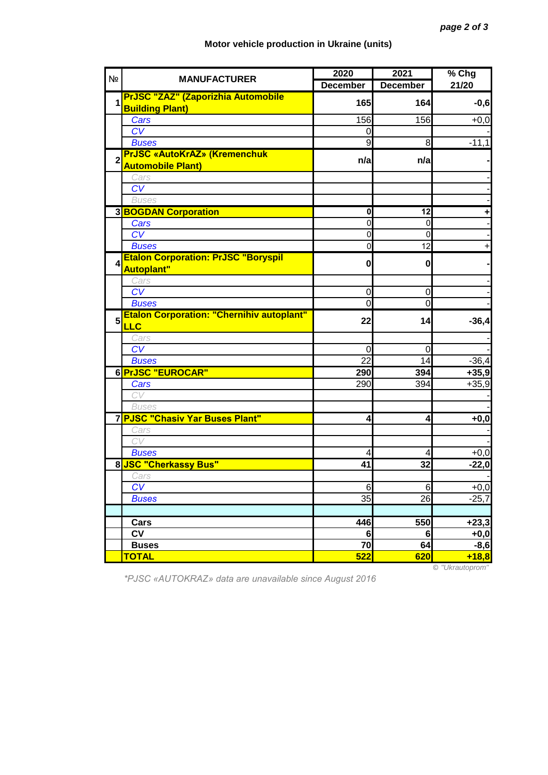## **Motor vehicle production in Ukraine (units)**

| N <sub>2</sub> | <b>MANUFACTURER</b>                                             | 2020            | 2021            | % Chg   |
|----------------|-----------------------------------------------------------------|-----------------|-----------------|---------|
|                |                                                                 | <b>December</b> | <b>December</b> | 21/20   |
| 1              | <b>PrJSC "ZAZ" (Zaporizhia Automobile</b>                       | 165             | 164             | $-0,6$  |
|                | <b>Building Plant)</b>                                          |                 |                 |         |
|                | Cars                                                            | 156             | 156             | $+0,0$  |
|                | CV                                                              | 0               |                 |         |
|                | <b>Buses</b>                                                    | 9               | 8               | $-11,1$ |
| $\overline{2}$ | <b>PrJSC «AutoKrAZ» (Kremenchuk</b><br><b>Automobile Plant)</b> | n/a             | n/a             |         |
|                | Cars                                                            |                 |                 |         |
|                | CV                                                              |                 |                 |         |
|                | <b>Buses</b>                                                    |                 |                 |         |
|                | <b>3 BOGDAN Corporation</b>                                     | $\mathbf 0$     | 12              |         |
|                | Cars                                                            | 0               | $\mathbf 0$     |         |
|                | $\overline{\text{CV}}$                                          | 0               | 0               |         |
|                | <b>Buses</b>                                                    | 0               | 12              |         |
|                | <b>Etalon Corporation: PrJSC "Boryspil</b>                      |                 |                 |         |
| 4              | <b>Autoplant"</b>                                               | $\bf{0}$        | 0               |         |
|                | Cars                                                            |                 |                 |         |
|                | CV                                                              | 0               | $\mathbf 0$     |         |
|                | <b>Buses</b>                                                    | 0               | $\overline{0}$  |         |
| 5              | <b>Etalon Corporation: "Chernihiv autoplant"</b><br><b>LLC</b>  | 22              | 14              | $-36,4$ |
|                | Cars                                                            |                 |                 |         |
|                | $\overline{\text{CV}}$                                          | 0               | $\mathbf 0$     |         |
|                | <b>Buses</b>                                                    | 22              | 14              | $-36,4$ |
|                | 6 PrJSC "EUROCAR"                                               | 290             | 394             | $+35,9$ |
|                | Cars                                                            | 290             | 394             | $+35,9$ |
|                | CV                                                              |                 |                 |         |
|                | <b>Buses</b>                                                    |                 |                 |         |
|                | 7 PJSC "Chasiv Yar Buses Plant"                                 | 4               | 4               | $+0,0$  |
|                | Cars                                                            |                 |                 |         |
|                | CV                                                              |                 |                 |         |
|                | <b>Buses</b>                                                    | 4               | 4               | $+0,0$  |
|                | 8 JSC "Cherkassy Bus"                                           | $\overline{41}$ | $\overline{32}$ | $-22,0$ |
|                | Cars                                                            |                 |                 |         |
|                | CV                                                              | $6\phantom{1}6$ | 6               | $+0,0$  |
|                | <b>Buses</b>                                                    | 35              | 26              | $-25,7$ |
|                |                                                                 |                 |                 |         |
|                | Cars                                                            | 446             | 550             | $+23,3$ |
|                | <b>CV</b>                                                       | 6<br>70         | 6               | $+0,0$  |
|                | <b>Buses</b>                                                    |                 | 64              | $-8,6$  |
|                | <b>TOTAL</b>                                                    | 522             | 620             | $+18,8$ |

*\*PJSC «AUTOKRAZ» data are unavailable since August 2016*

© *"Ukrautoprom"*